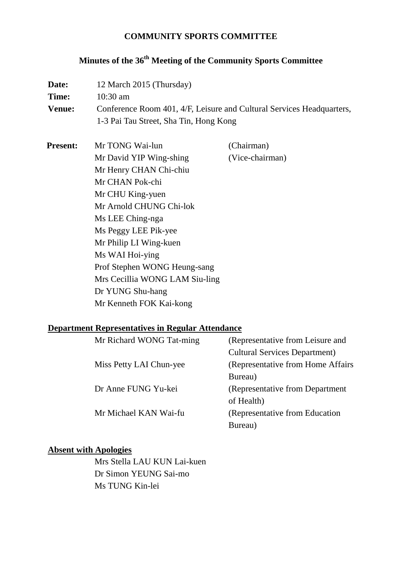## **COMMUNITY SPORTS COMMITTEE**

# **Minutes of the 36th Meeting of the Community Sports Committee**

| Date:<br>Time:<br><b>Venue:</b> | 12 March 2015 (Thursday)<br>10:30 am<br>Conference Room 401, 4/F, Leisure and Cultural Services Headquarters,<br>1-3 Pai Tau Street, Sha Tin, Hong Kong                                                                                                                                                                                          |                               |  |
|---------------------------------|--------------------------------------------------------------------------------------------------------------------------------------------------------------------------------------------------------------------------------------------------------------------------------------------------------------------------------------------------|-------------------------------|--|
| <b>Present:</b>                 | Mr TONG Wai-lun<br>Mr David YIP Wing-shing<br>Mr Henry CHAN Chi-chiu<br>Mr CHAN Pok-chi<br>Mr CHU King-yuen<br>Mr Arnold CHUNG Chi-lok<br>Ms LEE Ching-nga<br>Ms Peggy LEE Pik-yee<br>Mr Philip LI Wing-kuen<br>Ms WAI Hoi-ying<br>Prof Stephen WONG Heung-sang<br>Mrs Cecillia WONG LAM Siu-ling<br>Dr YUNG Shu-hang<br>Mr Kenneth FOK Kai-kong | (Chairman)<br>(Vice-chairman) |  |

#### **Department Representatives in Regular Attendance**

| Mr Richard WONG Tat-ming | (Representative from Leisure and     |
|--------------------------|--------------------------------------|
|                          | <b>Cultural Services Department)</b> |
| Miss Petty LAI Chun-yee  | (Representative from Home Affairs)   |
|                          | Bureau)                              |
| Dr Anne FUNG Yu-kei      | (Representative from Department)     |
|                          | of Health)                           |
| Mr Michael KAN Wai-fu    | (Representative from Education)      |
|                          | Bureau)                              |
|                          |                                      |

## **Absent with Apologies**

Mrs Stella LAU KUN Lai-kuen Dr Simon YEUNG Sai-mo Ms TUNG Kin-lei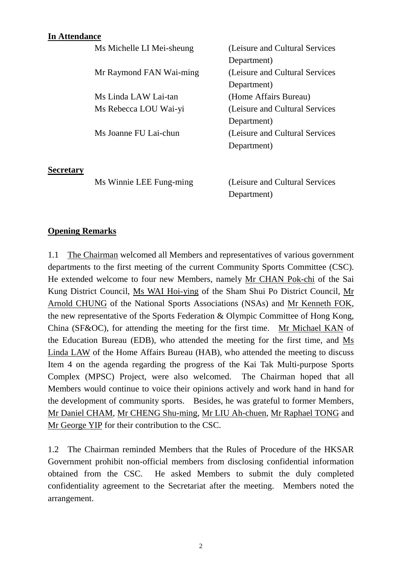#### **In Attendance**

|                  | Ms Michelle LI Mei-sheung | (Leisure and Cultural Services  |
|------------------|---------------------------|---------------------------------|
|                  |                           | Department)                     |
|                  | Mr Raymond FAN Wai-ming   | (Leisure and Cultural Services) |
|                  |                           | Department)                     |
|                  | Ms Linda LAW Lai-tan      | (Home Affairs Bureau)           |
|                  | Ms Rebecca LOU Wai-yi     | (Leisure and Cultural Services) |
|                  |                           | Department)                     |
|                  | Ms Joanne FU Lai-chun     | (Leisure and Cultural Services) |
|                  |                           | Department)                     |
| <b>Secretary</b> |                           |                                 |
|                  | Ms Winnie LEE Fung-ming   | (Leisure and Cultural Services) |
|                  |                           | Department)                     |

#### **Opening Remarks**

1.1 The Chairman welcomed all Members and representatives of various government departments to the first meeting of the current Community Sports Committee (CSC). He extended welcome to four new Members, namely Mr CHAN Pok-chi of the Sai Kung District Council, Ms WAI Hoi-ying of the Sham Shui Po District Council, Mr Arnold CHUNG of the National Sports Associations (NSAs) and Mr Kenneth FOK, the new representative of the Sports Federation & Olympic Committee of Hong Kong, China (SF&OC), for attending the meeting for the first time. Mr Michael KAN of the Education Bureau (EDB), who attended the meeting for the first time, and Ms Linda LAW of the Home Affairs Bureau (HAB), who attended the meeting to discuss Item 4 on the agenda regarding the progress of the Kai Tak Multi-purpose Sports Complex (MPSC) Project, were also welcomed. The Chairman hoped that all Members would continue to voice their opinions actively and work hand in hand for the development of community sports. Besides, he was grateful to former Members, Mr Daniel CHAM, Mr CHENG Shu-ming, Mr LIU Ah-chuen, Mr Raphael TONG and Mr George YIP for their contribution to the CSC.

1.2 The Chairman reminded Members that the Rules of Procedure of the HKSAR Government prohibit non-official members from disclosing confidential information obtained from the CSC. He asked Members to submit the duly completed confidentiality agreement to the Secretariat after the meeting. Members noted the arrangement.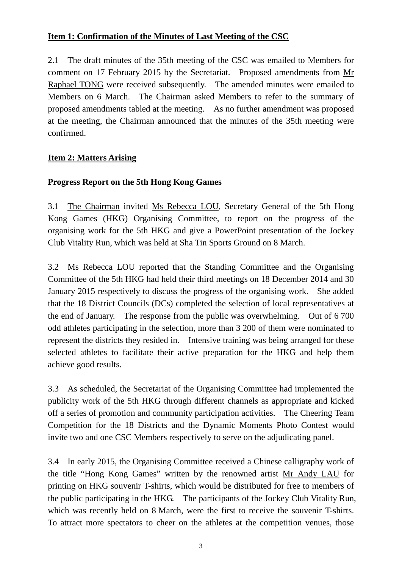## **Item 1: Confirmation of the Minutes of Last Meeting of the CSC**

2.1 The draft minutes of the 35th meeting of the CSC was emailed to Members for comment on 17 February 2015 by the Secretariat. Proposed amendments from Mr Raphael TONG were received subsequently. The amended minutes were emailed to Members on 6 March. The Chairman asked Members to refer to the summary of proposed amendments tabled at the meeting. As no further amendment was proposed at the meeting, the Chairman announced that the minutes of the 35th meeting were confirmed.

## **Item 2: Matters Arising**

## **Progress Report on the 5th Hong Kong Games**

3.1 The Chairman invited Ms Rebecca LOU, Secretary General of the 5th Hong Kong Games (HKG) Organising Committee, to report on the progress of the organising work for the 5th HKG and give a PowerPoint presentation of the Jockey Club Vitality Run, which was held at Sha Tin Sports Ground on 8 March.

3.2 Ms Rebecca LOU reported that the Standing Committee and the Organising Committee of the 5th HKG had held their third meetings on 18 December 2014 and 30 January 2015 respectively to discuss the progress of the organising work. She added that the 18 District Councils (DCs) completed the selection of local representatives at the end of January. The response from the public was overwhelming. Out of 6 700 odd athletes participating in the selection, more than 3 200 of them were nominated to represent the districts they resided in. Intensive training was being arranged for these selected athletes to facilitate their active preparation for the HKG and help them achieve good results.

3.3 As scheduled, the Secretariat of the Organising Committee had implemented the publicity work of the 5th HKG through different channels as appropriate and kicked off a series of promotion and community participation activities. The Cheering Team Competition for the 18 Districts and the Dynamic Moments Photo Contest would invite two and one CSC Members respectively to serve on the adjudicating panel.

3.4 In early 2015, the Organising Committee received a Chinese calligraphy work of the title "Hong Kong Games" written by the renowned artist Mr Andy LAU for printing on HKG souvenir T-shirts, which would be distributed for free to members of the public participating in the HKG. The participants of the Jockey Club Vitality Run, which was recently held on 8 March, were the first to receive the souvenir T-shirts. To attract more spectators to cheer on the athletes at the competition venues, those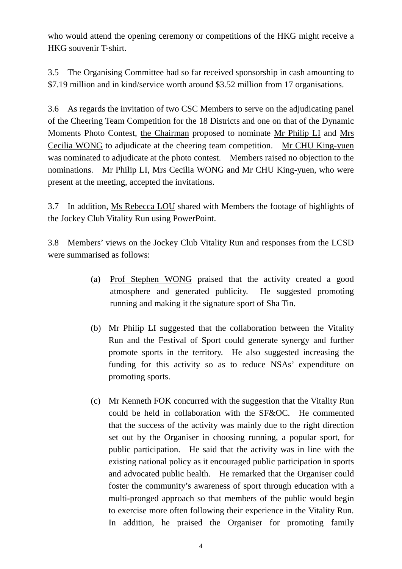who would attend the opening ceremony or competitions of the HKG might receive a HKG souvenir T-shirt.

3.5 The Organising Committee had so far received sponsorship in cash amounting to \$7.19 million and in kind/service worth around \$3.52 million from 17 organisations.

3.6 As regards the invitation of two CSC Members to serve on the adjudicating panel of the Cheering Team Competition for the 18 Districts and one on that of the Dynamic Moments Photo Contest, the Chairman proposed to nominate Mr Philip LI and Mrs Cecilia WONG to adjudicate at the cheering team competition. Mr CHU King-yuen was nominated to adjudicate at the photo contest. Members raised no objection to the nominations. Mr Philip LI, Mrs Cecilia WONG and Mr CHU King-yuen, who were present at the meeting, accepted the invitations.

3.7 In addition, Ms Rebecca LOU shared with Members the footage of highlights of the Jockey Club Vitality Run using PowerPoint.

3.8 Members' views on the Jockey Club Vitality Run and responses from the LCSD were summarised as follows:

- (a) Prof Stephen WONG praised that the activity created a good atmosphere and generated publicity. He suggested promoting running and making it the signature sport of Sha Tin.
- (b) Mr Philip LI suggested that the collaboration between the Vitality Run and the Festival of Sport could generate synergy and further promote sports in the territory. He also suggested increasing the funding for this activity so as to reduce NSAs' expenditure on promoting sports.
- (c) Mr Kenneth FOK concurred with the suggestion that the Vitality Run could be held in collaboration with the SF&OC. He commented that the success of the activity was mainly due to the right direction set out by the Organiser in choosing running, a popular sport, for public participation. He said that the activity was in line with the existing national policy as it encouraged public participation in sports and advocated public health. He remarked that the Organiser could foster the community's awareness of sport through education with a multi-pronged approach so that members of the public would begin to exercise more often following their experience in the Vitality Run. In addition, he praised the Organiser for promoting family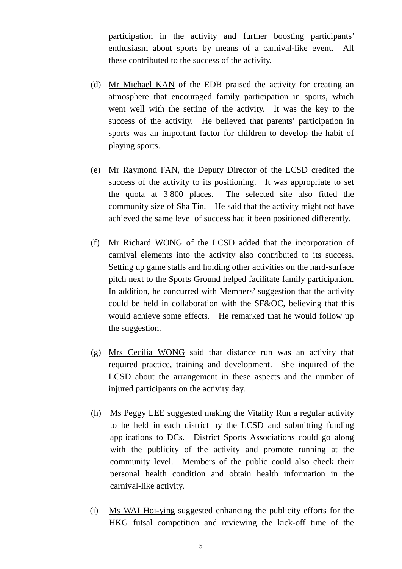participation in the activity and further boosting participants' enthusiasm about sports by means of a carnival-like event. All these contributed to the success of the activity.

- (d) Mr Michael KAN of the EDB praised the activity for creating an atmosphere that encouraged family participation in sports, which went well with the setting of the activity. It was the key to the success of the activity. He believed that parents' participation in sports was an important factor for children to develop the habit of playing sports.
- (e) Mr Raymond FAN, the Deputy Director of the LCSD credited the success of the activity to its positioning. It was appropriate to set the quota at 3 800 places. The selected site also fitted the community size of Sha Tin. He said that the activity might not have achieved the same level of success had it been positioned differently.
- (f) Mr Richard WONG of the LCSD added that the incorporation of carnival elements into the activity also contributed to its success. Setting up game stalls and holding other activities on the hard-surface pitch next to the Sports Ground helped facilitate family participation. In addition, he concurred with Members' suggestion that the activity could be held in collaboration with the SF&OC, believing that this would achieve some effects. He remarked that he would follow up the suggestion.
- (g) Mrs Cecilia WONG said that distance run was an activity that required practice, training and development. She inquired of the LCSD about the arrangement in these aspects and the number of injured participants on the activity day.
- (h) Ms Peggy LEE suggested making the Vitality Run a regular activity to be held in each district by the LCSD and submitting funding applications to DCs. District Sports Associations could go along with the publicity of the activity and promote running at the community level. Members of the public could also check their personal health condition and obtain health information in the carnival-like activity.
- (i) Ms WAI Hoi-ying suggested enhancing the publicity efforts for the HKG futsal competition and reviewing the kick-off time of the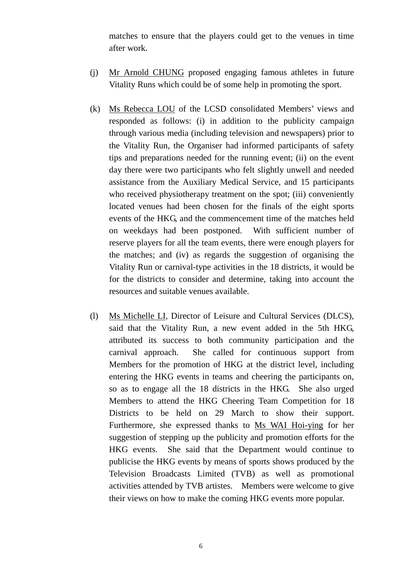matches to ensure that the players could get to the venues in time after work.

- (j) Mr Arnold CHUNG proposed engaging famous athletes in future Vitality Runs which could be of some help in promoting the sport.
- (k) Ms Rebecca LOU of the LCSD consolidated Members' views and responded as follows: (i) in addition to the publicity campaign through various media (including television and newspapers) prior to the Vitality Run, the Organiser had informed participants of safety tips and preparations needed for the running event; (ii) on the event day there were two participants who felt slightly unwell and needed assistance from the Auxiliary Medical Service, and 15 participants who received physiotherapy treatment on the spot; (iii) conveniently located venues had been chosen for the finals of the eight sports events of the HKG, and the commencement time of the matches held on weekdays had been postponed. With sufficient number of reserve players for all the team events, there were enough players for the matches; and (iv) as regards the suggestion of organising the Vitality Run or carnival-type activities in the 18 districts, it would be for the districts to consider and determine, taking into account the resources and suitable venues available.
- (l) Ms Michelle LI, Director of Leisure and Cultural Services (DLCS), said that the Vitality Run, a new event added in the 5th HKG, attributed its success to both community participation and the carnival approach. She called for continuous support from Members for the promotion of HKG at the district level, including entering the HKG events in teams and cheering the participants on, so as to engage all the 18 districts in the HKG. She also urged Members to attend the HKG Cheering Team Competition for 18 Districts to be held on 29 March to show their support. Furthermore, she expressed thanks to Ms WAI Hoi-ying for her suggestion of stepping up the publicity and promotion efforts for the HKG events. She said that the Department would continue to publicise the HKG events by means of sports shows produced by the Television Broadcasts Limited (TVB) as well as promotional activities attended by TVB artistes. Members were welcome to give their views on how to make the coming HKG events more popular.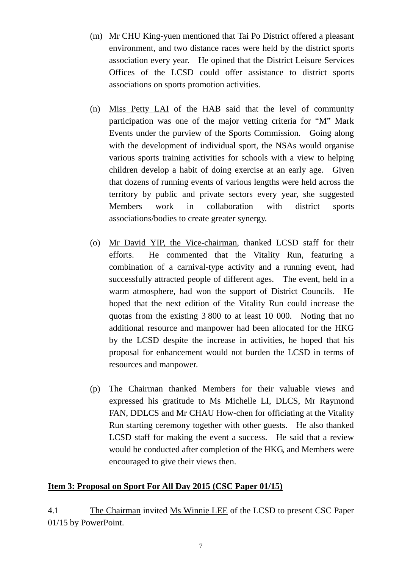- (m) Mr CHU King-yuen mentioned that Tai Po District offered a pleasant environment, and two distance races were held by the district sports association every year. He opined that the District Leisure Services Offices of the LCSD could offer assistance to district sports associations on sports promotion activities.
- (n) Miss Petty LAI of the HAB said that the level of community participation was one of the major vetting criteria for "M" Mark Events under the purview of the Sports Commission. Going along with the development of individual sport, the NSAs would organise various sports training activities for schools with a view to helping children develop a habit of doing exercise at an early age. Given that dozens of running events of various lengths were held across the territory by public and private sectors every year, she suggested Members work in collaboration with district sports associations/bodies to create greater synergy.
- (o) Mr David YIP, the Vice-chairman, thanked LCSD staff for their efforts. He commented that the Vitality Run, featuring a combination of a carnival-type activity and a running event, had successfully attracted people of different ages. The event, held in a warm atmosphere, had won the support of District Councils. He hoped that the next edition of the Vitality Run could increase the quotas from the existing 3 800 to at least 10 000. Noting that no additional resource and manpower had been allocated for the HKG by the LCSD despite the increase in activities, he hoped that his proposal for enhancement would not burden the LCSD in terms of resources and manpower.
- (p) The Chairman thanked Members for their valuable views and expressed his gratitude to Ms Michelle LI, DLCS, Mr Raymond FAN, DDLCS and Mr CHAU How-chen for officiating at the Vitality Run starting ceremony together with other guests. He also thanked LCSD staff for making the event a success. He said that a review would be conducted after completion of the HKG, and Members were encouraged to give their views then.

#### **Item 3: Proposal on Sport For All Day 2015 (CSC Paper 01/15)**

4.1 The Chairman invited Ms Winnie LEE of the LCSD to present CSC Paper 01/15 by PowerPoint.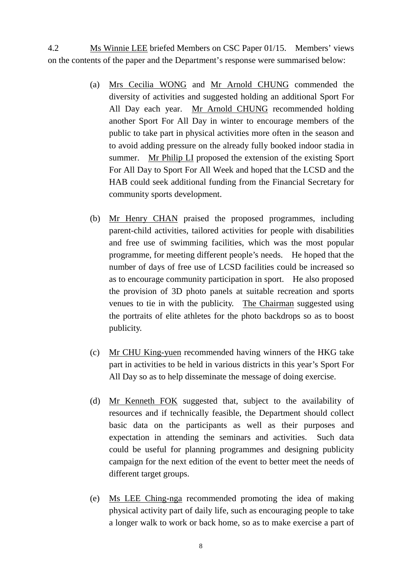4.2 Ms Winnie LEE briefed Members on CSC Paper 01/15. Members' views on the contents of the paper and the Department's response were summarised below:

- (a) Mrs Cecilia WONG and Mr Arnold CHUNG commended the diversity of activities and suggested holding an additional Sport For All Day each year. Mr Arnold CHUNG recommended holding another Sport For All Day in winter to encourage members of the public to take part in physical activities more often in the season and to avoid adding pressure on the already fully booked indoor stadia in summer. Mr Philip LI proposed the extension of the existing Sport For All Day to Sport For All Week and hoped that the LCSD and the HAB could seek additional funding from the Financial Secretary for community sports development.
- (b) Mr Henry CHAN praised the proposed programmes, including parent-child activities, tailored activities for people with disabilities and free use of swimming facilities, which was the most popular programme, for meeting different people's needs. He hoped that the number of days of free use of LCSD facilities could be increased so as to encourage community participation in sport. He also proposed the provision of 3D photo panels at suitable recreation and sports venues to tie in with the publicity. The Chairman suggested using the portraits of elite athletes for the photo backdrops so as to boost publicity.
- (c) Mr CHU King-yuen recommended having winners of the HKG take part in activities to be held in various districts in this year's Sport For All Day so as to help disseminate the message of doing exercise.
- (d) Mr Kenneth FOK suggested that, subject to the availability of resources and if technically feasible, the Department should collect basic data on the participants as well as their purposes and expectation in attending the seminars and activities. Such data could be useful for planning programmes and designing publicity campaign for the next edition of the event to better meet the needs of different target groups.
- (e) Ms LEE Ching-nga recommended promoting the idea of making physical activity part of daily life, such as encouraging people to take a longer walk to work or back home, so as to make exercise a part of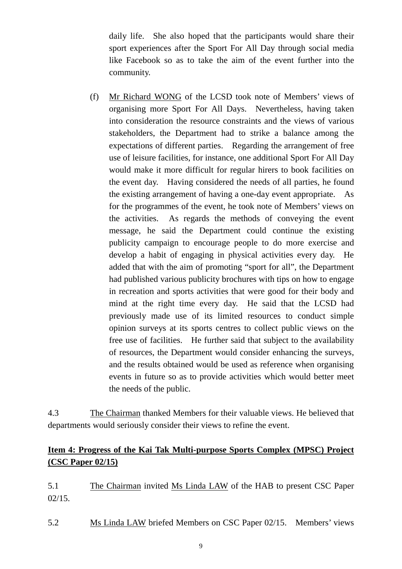daily life. She also hoped that the participants would share their sport experiences after the Sport For All Day through social media like Facebook so as to take the aim of the event further into the community.

(f) Mr Richard WONG of the LCSD took note of Members' views of organising more Sport For All Days. Nevertheless, having taken into consideration the resource constraints and the views of various stakeholders, the Department had to strike a balance among the expectations of different parties. Regarding the arrangement of free use of leisure facilities, for instance, one additional Sport For All Day would make it more difficult for regular hirers to book facilities on the event day. Having considered the needs of all parties, he found the existing arrangement of having a one-day event appropriate. As for the programmes of the event, he took note of Members' views on the activities. As regards the methods of conveying the event message, he said the Department could continue the existing publicity campaign to encourage people to do more exercise and develop a habit of engaging in physical activities every day. He added that with the aim of promoting "sport for all", the Department had published various publicity brochures with tips on how to engage in recreation and sports activities that were good for their body and mind at the right time every day. He said that the LCSD had previously made use of its limited resources to conduct simple opinion surveys at its sports centres to collect public views on the free use of facilities. He further said that subject to the availability of resources, the Department would consider enhancing the surveys, and the results obtained would be used as reference when organising events in future so as to provide activities which would better meet the needs of the public.

4.3 The Chairman thanked Members for their valuable views. He believed that departments would seriously consider their views to refine the event.

# **Item 4: Progress of the Kai Tak Multi-purpose Sports Complex (MPSC) Project (CSC Paper 02/15)**

5.1 The Chairman invited Ms Linda LAW of the HAB to present CSC Paper 02/15.

5.2 Ms Linda LAW briefed Members on CSC Paper 02/15. Members' views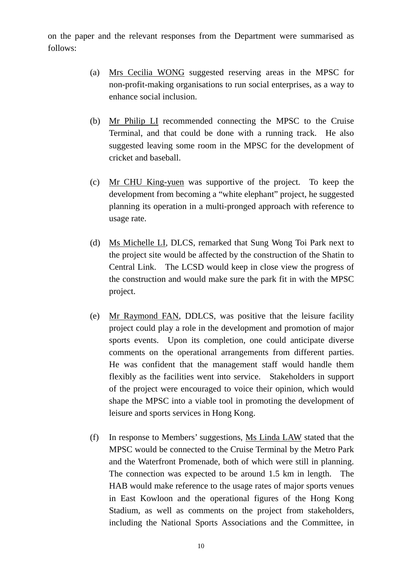on the paper and the relevant responses from the Department were summarised as follows:

- (a) Mrs Cecilia WONG suggested reserving areas in the MPSC for non-profit-making organisations to run social enterprises, as a way to enhance social inclusion.
- (b) Mr Philip LI recommended connecting the MPSC to the Cruise Terminal, and that could be done with a running track. He also suggested leaving some room in the MPSC for the development of cricket and baseball.
- (c) Mr CHU King-yuen was supportive of the project. To keep the development from becoming a "white elephant" project, he suggested planning its operation in a multi-pronged approach with reference to usage rate.
- (d) Ms Michelle LI, DLCS, remarked that Sung Wong Toi Park next to the project site would be affected by the construction of the Shatin to Central Link. The LCSD would keep in close view the progress of the construction and would make sure the park fit in with the MPSC project.
- (e) Mr Raymond FAN, DDLCS, was positive that the leisure facility project could play a role in the development and promotion of major sports events. Upon its completion, one could anticipate diverse comments on the operational arrangements from different parties. He was confident that the management staff would handle them flexibly as the facilities went into service. Stakeholders in support of the project were encouraged to voice their opinion, which would shape the MPSC into a viable tool in promoting the development of leisure and sports services in Hong Kong.
- (f) In response to Members' suggestions, Ms Linda LAW stated that the MPSC would be connected to the Cruise Terminal by the Metro Park and the Waterfront Promenade, both of which were still in planning. The connection was expected to be around 1.5 km in length. The HAB would make reference to the usage rates of major sports venues in East Kowloon and the operational figures of the Hong Kong Stadium, as well as comments on the project from stakeholders, including the National Sports Associations and the Committee, in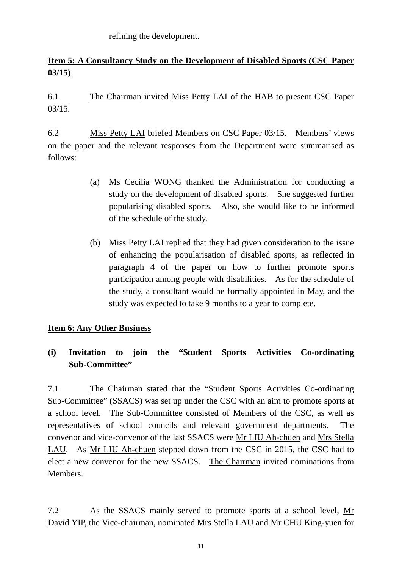refining the development.

# **Item 5: A Consultancy Study on the Development of Disabled Sports (CSC Paper 03/15)**

6.1 The Chairman invited Miss Petty LAI of the HAB to present CSC Paper 03/15.

6.2 Miss Petty LAI briefed Members on CSC Paper 03/15. Members' views on the paper and the relevant responses from the Department were summarised as follows:

- (a) Ms Cecilia WONG thanked the Administration for conducting a study on the development of disabled sports. She suggested further popularising disabled sports. Also, she would like to be informed of the schedule of the study.
- (b) Miss Petty LAI replied that they had given consideration to the issue of enhancing the popularisation of disabled sports, as reflected in paragraph 4 of the paper on how to further promote sports participation among people with disabilities. As for the schedule of the study, a consultant would be formally appointed in May, and the study was expected to take 9 months to a year to complete.

## **Item 6: Any Other Business**

## **(i) Invitation to join the "Student Sports Activities Co-ordinating Sub-Committee"**

7.1 The Chairman stated that the "Student Sports Activities Co-ordinating Sub-Committee" (SSACS) was set up under the CSC with an aim to promote sports at a school level. The Sub-Committee consisted of Members of the CSC, as well as representatives of school councils and relevant government departments. The convenor and vice-convenor of the last SSACS were Mr LIU Ah-chuen and Mrs Stella LAU. As Mr LIU Ah-chuen stepped down from the CSC in 2015, the CSC had to elect a new convenor for the new SSACS. The Chairman invited nominations from Members.

7.2 As the SSACS mainly served to promote sports at a school level, Mr David YIP, the Vice-chairman, nominated Mrs Stella LAU and Mr CHU King-yuen for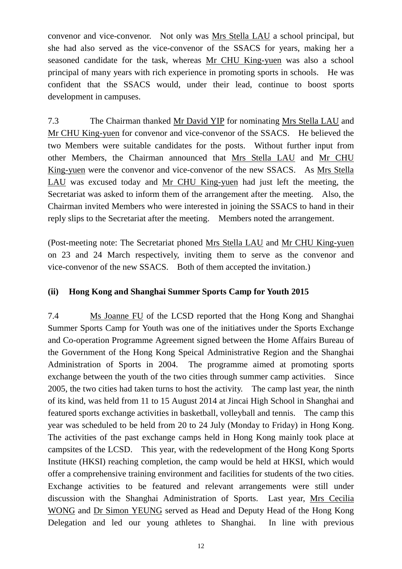convenor and vice-convenor. Not only was Mrs Stella LAU a school principal, but she had also served as the vice-convenor of the SSACS for years, making her a seasoned candidate for the task, whereas Mr CHU King-yuen was also a school principal of many years with rich experience in promoting sports in schools. He was confident that the SSACS would, under their lead, continue to boost sports development in campuses.

7.3 The Chairman thanked Mr David YIP for nominating Mrs Stella LAU and Mr CHU King-yuen for convenor and vice-convenor of the SSACS. He believed the two Members were suitable candidates for the posts. Without further input from other Members, the Chairman announced that Mrs Stella LAU and Mr CHU King-yuen were the convenor and vice-convenor of the new SSACS. As Mrs Stella LAU was excused today and Mr CHU King-yuen had just left the meeting, the Secretariat was asked to inform them of the arrangement after the meeting. Also, the Chairman invited Members who were interested in joining the SSACS to hand in their reply slips to the Secretariat after the meeting. Members noted the arrangement.

(Post-meeting note: The Secretariat phoned Mrs Stella LAU and Mr CHU King-yuen on 23 and 24 March respectively, inviting them to serve as the convenor and vice-convenor of the new SSACS. Both of them accepted the invitation.)

## **(ii) Hong Kong and Shanghai Summer Sports Camp for Youth 2015**

7.4 Ms Joanne FU of the LCSD reported that the Hong Kong and Shanghai Summer Sports Camp for Youth was one of the initiatives under the Sports Exchange and Co-operation Programme Agreement signed between the Home Affairs Bureau of the Government of the Hong Kong Speical Administrative Region and the Shanghai Administration of Sports in 2004. The programme aimed at promoting sports exchange between the youth of the two cities through summer camp activities. Since 2005, the two cities had taken turns to host the activity. The camp last year, the ninth of its kind, was held from 11 to 15 August 2014 at Jincai High School in Shanghai and featured sports exchange activities in basketball, volleyball and tennis. The camp this year was scheduled to be held from 20 to 24 July (Monday to Friday) in Hong Kong. The activities of the past exchange camps held in Hong Kong mainly took place at campsites of the LCSD. This year, with the redevelopment of the Hong Kong Sports Institute (HKSI) reaching completion, the camp would be held at HKSI, which would offer a comprehensive training environment and facilities for students of the two cities. Exchange activities to be featured and relevant arrangements were still under discussion with the Shanghai Administration of Sports. Last year, Mrs Cecilia WONG and Dr Simon YEUNG served as Head and Deputy Head of the Hong Kong Delegation and led our young athletes to Shanghai. In line with previous